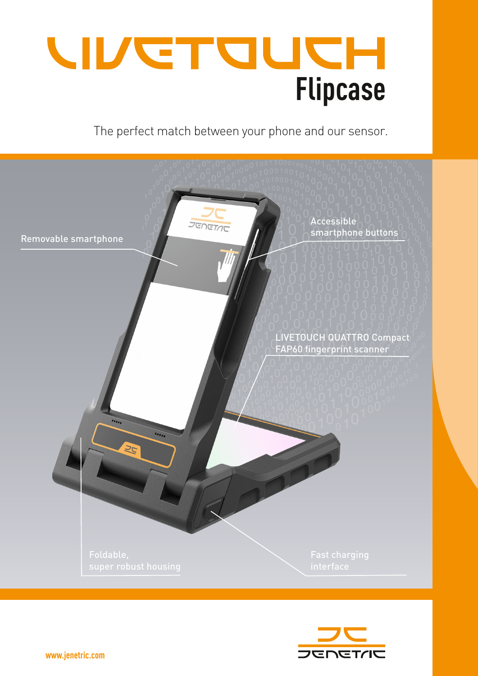

The perfect match between your phone and our sensor.